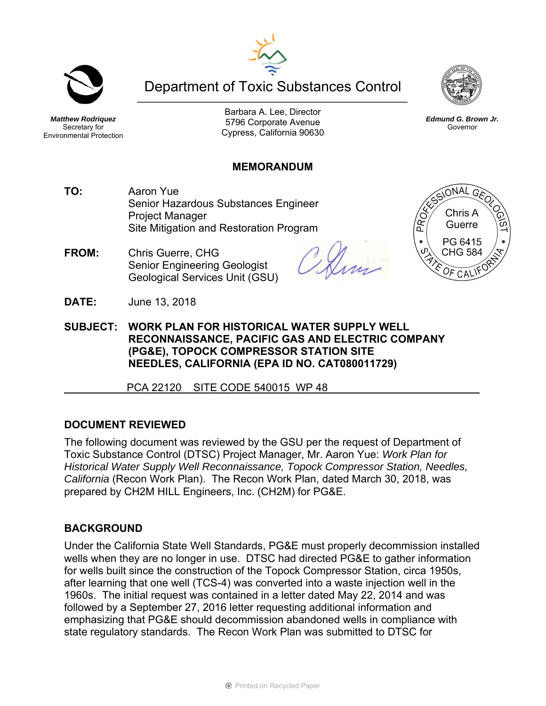# Department of Toxic Substances Control

*Matthew Rodriquez*  Secretary for Environmental Protection

Barbara A. Lee, Director 5796 Corporate Avenue Cypress, California 90630

#### **MEMORANDUM**

- **TO:** Aaron Yue Senior Hazardous Substances Engineer Project Manager Site Mitigation and Restoration Program
- **FROM:** Chris Guerre, CHG Senior Engineering Geologist Geological Services Unit (GSU)
- **SUBJECT: WORK PLAN FOR HISTORICAL WATER SUPPLY WELL RECONNAISSANCE, PACIFIC GAS AND ELECTRIC COMPANY (PG&E), TOPOCK COMPRESSOR STATION SITE NEEDLES, CALIFORNIA (EPA ID NO. CAT080011729)**

PCA 22120 SITE CODE 540015 WP 48

### **DOCUMENT REVIEWED**

**DATE:** June 13, 2018

The following document was reviewed by the GSU per the request of Department of Toxic Substance Control (DTSC) Project Manager, Mr. Aaron Yue: *Work Plan for Historical Water Supply Well Reconnaissance, Topock Compressor Station, Needles, California* (Recon Work Plan). The Recon Work Plan, dated March 30, 2018, was prepared by CH2M HILL Engineers, Inc. (CH2M) for PG&E.

### **BACKGROUND**

Under the California State Well Standards, PG&E must properly decommission installed wells when they are no longer in use. DTSC had directed PG&E to gather information for wells built since the construction of the Topock Compressor Station, circa 1950s, after learning that one well (TCS-4) was converted into a waste injection well in the 1960s. The initial request was contained in a letter dated May 22, 2014 and was followed by a September 27, 2016 letter requesting additional information and emphasizing that PG&E should decommission abandoned wells in compliance with state regulatory standards. The Recon Work Plan was submitted to DTSC for







*Edmund G. Brown Jr.*  Governor

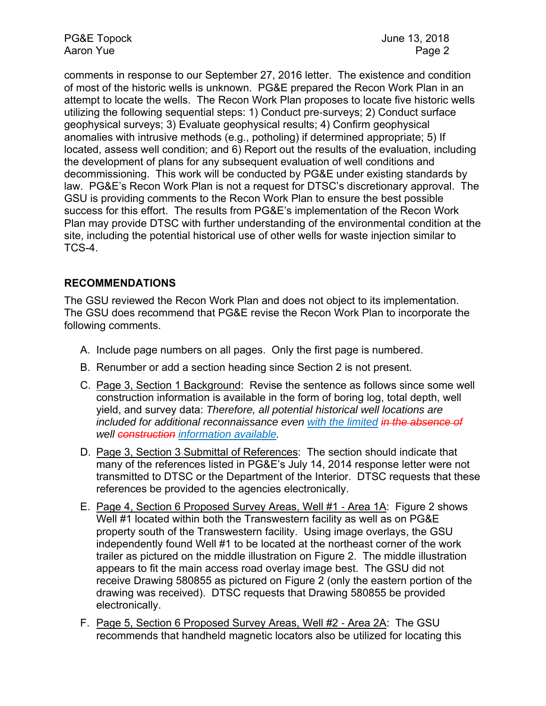PG&E Topock June 13, 2018 Aaron Yue **Page 2** 

comments in response to our September 27, 2016 letter. The existence and condition of most of the historic wells is unknown. PG&E prepared the Recon Work Plan in an attempt to locate the wells. The Recon Work Plan proposes to locate five historic wells utilizing the following sequential steps: 1) Conduct pre-surveys; 2) Conduct surface geophysical surveys; 3) Evaluate geophysical results; 4) Confirm geophysical anomalies with intrusive methods (e.g., potholing) if determined appropriate; 5) If located, assess well condition; and 6) Report out the results of the evaluation, including the development of plans for any subsequent evaluation of well conditions and decommissioning. This work will be conducted by PG&E under existing standards by law. PG&E's Recon Work Plan is not a request for DTSC's discretionary approval. The GSU is providing comments to the Recon Work Plan to ensure the best possible success for this effort. The results from PG&E's implementation of the Recon Work Plan may provide DTSC with further understanding of the environmental condition at the site, including the potential historical use of other wells for waste injection similar to TCS-4.

## **RECOMMENDATIONS**

The GSU reviewed the Recon Work Plan and does not object to its implementation. The GSU does recommend that PG&E revise the Recon Work Plan to incorporate the following comments.

- A. Include page numbers on all pages. Only the first page is numbered.
- B. Renumber or add a section heading since Section 2 is not present.
- C. Page 3, Section 1 Background: Revise the sentence as follows since some well construction information is available in the form of boring log, total depth, well yield, and survey data: *Therefore, all potential historical well locations are included for additional reconnaissance even with the limited in the absence of well construction information available.*
- D. Page 3, Section 3 Submittal of References: The section should indicate that many of the references listed in PG&E's July 14, 2014 response letter were not transmitted to DTSC or the Department of the Interior. DTSC requests that these references be provided to the agencies electronically.
- E. Page 4, Section 6 Proposed Survey Areas, Well #1 Area 1A: Figure 2 shows Well #1 located within both the Transwestern facility as well as on PG&E property south of the Transwestern facility. Using image overlays, the GSU independently found Well #1 to be located at the northeast corner of the work trailer as pictured on the middle illustration on Figure 2. The middle illustration appears to fit the main access road overlay image best. The GSU did not receive Drawing 580855 as pictured on Figure 2 (only the eastern portion of the drawing was received). DTSC requests that Drawing 580855 be provided electronically.
- F. Page 5, Section 6 Proposed Survey Areas, Well #2 Area 2A: The GSU recommends that handheld magnetic locators also be utilized for locating this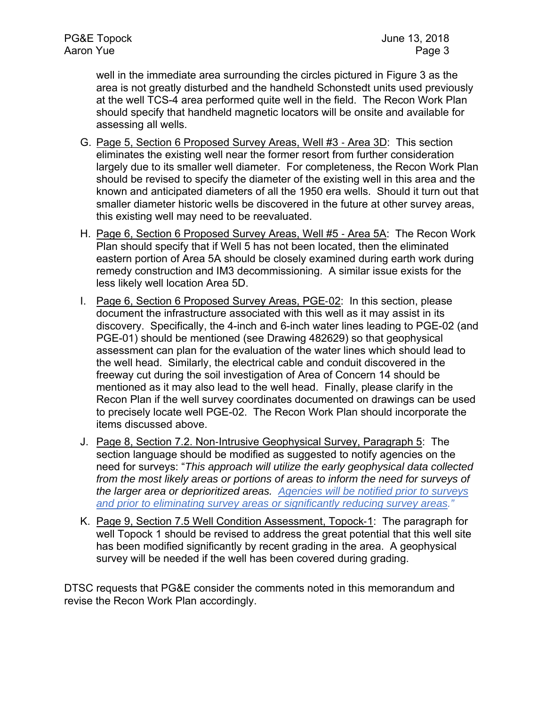well in the immediate area surrounding the circles pictured in Figure 3 as the area is not greatly disturbed and the handheld Schonstedt units used previously at the well TCS-4 area performed quite well in the field. The Recon Work Plan should specify that handheld magnetic locators will be onsite and available for assessing all wells.

- G. Page 5, Section 6 Proposed Survey Areas, Well #3 Area 3D: This section eliminates the existing well near the former resort from further consideration largely due to its smaller well diameter. For completeness, the Recon Work Plan should be revised to specify the diameter of the existing well in this area and the known and anticipated diameters of all the 1950 era wells. Should it turn out that smaller diameter historic wells be discovered in the future at other survey areas, this existing well may need to be reevaluated.
- H. Page 6, Section 6 Proposed Survey Areas, Well #5 Area 5A: The Recon Work Plan should specify that if Well 5 has not been located, then the eliminated eastern portion of Area 5A should be closely examined during earth work during remedy construction and IM3 decommissioning. A similar issue exists for the less likely well location Area 5D.
- I. Page 6, Section 6 Proposed Survey Areas, PGE-02: In this section, please document the infrastructure associated with this well as it may assist in its discovery. Specifically, the 4-inch and 6-inch water lines leading to PGE-02 (and PGE-01) should be mentioned (see Drawing 482629) so that geophysical assessment can plan for the evaluation of the water lines which should lead to the well head. Similarly, the electrical cable and conduit discovered in the freeway cut during the soil investigation of Area of Concern 14 should be mentioned as it may also lead to the well head. Finally, please clarify in the Recon Plan if the well survey coordinates documented on drawings can be used to precisely locate well PGE-02. The Recon Work Plan should incorporate the items discussed above.
- J. Page 8, Section 7.2. Non-Intrusive Geophysical Survey, Paragraph 5: The section language should be modified as suggested to notify agencies on the need for surveys: "*This approach will utilize the early geophysical data collected from the most likely areas or portions of areas to inform the need for surveys of the larger area or deprioritized areas. Agencies will be notified prior to surveys and prior to eliminating survey areas or significantly reducing survey areas."*
- K. Page 9, Section 7.5 Well Condition Assessment, Topock-1: The paragraph for well Topock 1 should be revised to address the great potential that this well site has been modified significantly by recent grading in the area. A geophysical survey will be needed if the well has been covered during grading.

DTSC requests that PG&E consider the comments noted in this memorandum and revise the Recon Work Plan accordingly.